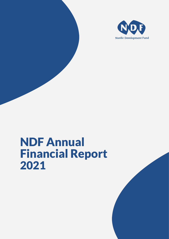

# NDF Annual Financial Report 2021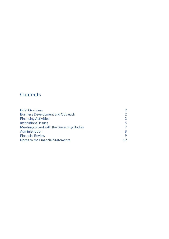### **Contents**

| <b>Brief Overview</b>                     |               |
|-------------------------------------------|---------------|
| <b>Business Development and Outreach</b>  | $\mathcal{P}$ |
| <b>Financing Activities</b>               | 3             |
| <b>Institutional Issues</b>               | 5.            |
| Meetings of and with the Governing Bodies |               |
| Administration                            | 8             |
| <b>Financial Review</b>                   | 9             |
| Notes to the Financial Statements         | 19            |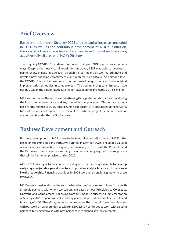### Brief Overview

Based on the launch of Strategy 2025 and the capital increase concluded in 2020 as well as the continuous development of NDF's institution, the year 2021 was characterised by an increased flow of new financing activities fully aligned with NDF's Strategy.

The on-going COVID-19 pandemic continued to impact NDF's activities in various ways. Despite the nearly total restriction on travel, NDF was able to develop its partnerships, engage in outreach through virtual means as well as originate and develop new financing commitments, and monitor its portfolio. At portfolio level, the COVID-19 impact showed mostly in the form of delays compared to the original implementation schedules in some projects. The new financing commitments made during 2021 in the amount EUR 63.5 million exceeded the projected EUR 55 million.

NDF also continued the work on strengthening its organisational structure, developing the institutional governance and key administrative processes. This work creates a basis for the financial, structural and human capital of NDF's operations going forward. Most of the work takes place in the form of institutional projects, some of which are commitments under the capital increase.

### Business Development and Outreach

Business development at NDF refers to the finetuning and adjustment of NDF's offer based on the Principles and Pathways outlined in Strategy 2025. The added value in our offer is the combination of aligning our financing activites with the Principles and the Pathways. The process for refining our offer is an ongoing, continuous process that will be further emphasised during 2022.

All NDF's financing activities are assessed against the Pathways, namely to **develop early stage project design and structure**; to **provide catalytic finance** and; to **advance Nordic leadership**. Financing activities in 2021 were all strongly aligned with these Pathways.

NDF's operational model continues to be based on co-financing and joining forces with strategic partners with whom we can engage based on our Principles to **Co-create**, **Convene** and **Complement**. Following from this model, a successful implementation of Strategy 2025 depends on value-adding partnerships that can amplify the role and financing of NDF. Therefore, our work on finetuning the offer will have clear linkages with our work on partnerships, too. During 2021, NDF continued to work with existing partners, but engaged also with new partners with aligned strategic interests.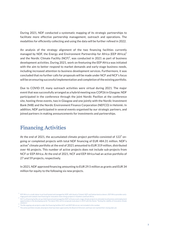During 2021, NDF conducted a systematic mapping of its strategic partnerships to facilitate more effective partnership management, outreach and operations. The modalities for efficiently collecting and using the data will be further refined in 2022.

An analysis of the strategy alignment of the two financing facilities currently managed by NDF, the Energy and Environment Partnership for Africa (EEP Africa) $<sup>1</sup>$ </sup> and the Nordic Climate Facility (NCF)<sup>2</sup>, was conducted in 2021 as part of business development activities. During 2021, work on finetuning the EEP Africa was initiated with the aim to better respond to market demands and early-stage business needs, including increased attention to business development services. Furthermore, it was concluded that no further calls for proposals will be made under NCF and NCF's focus will be on ensuring successful implementation and completion of the existing portfolio.

Due to COVID-19, many outreach activities were virtual during 2021. The major event that was successfully arranged as a hybrid meeting was COP26 in Glasgow. NDF participated in the conference through the joint Nordic Pavilion at the conference site, hosting three events, two in Glasgow and one jointly with the Nordic Investment Bank (NIB) and the Nordic Environment Finance Corporation (NEFCO) in Helsinki. In addition, NDF participated in several events organised by our strategic partners, and joined partners in making announcements for investments and partnerships.

### Financing Activities

At the end of 2021, the accumulated climate project portfolio consisted of 122 $^{\rm 3}$  ongoing or completed projects with total NDF financing of EUR 484.31 million. NDF's active<sup>4</sup> climate portfolio at the end of 2021 amounted to EUR 319 million, distributed over 46 projects. This number of active projects does not include sub-projects from NCF or EEP Africa. At the end of 2021, NCF and EEP Africa had an active portfolio of 27 and 59 projects, respectively.

In 2021, NDF approved financing amounting to EUR 29.5 million as grants and EUR 34 million for equity to the following six new projects.

EEP Africa is a multi-donor trust fund hosted and managed by NDF, with Austria, Finland, NDF and Switzerland as donors. EEP Africa provides earlystage grant and catalytic loan financing for innovative clean energy projects in Southern and East Africa.

NCF is a financing facility set up, fully financed and managed by NDF to finance early-stage climate projects to stimulate local business and employment opportunities in the developing world. The latest (9th) call for proposals took place in 2019 with the theme "Testing the viability of innovative climate solutions".

The 86 ongoing sub-projects under the financing facilities NCF and (EEP Africa) are not included in this number. <sup>3</sup>

The active portfolio includes all projects that have been approved by the Board of Directors and have not reached their closing date yet. <sup>4</sup>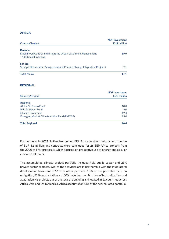#### AFRICA

| <b>Country/Project</b>                                                                            | <b>NDF</b> investment<br><b>EUR million</b> |
|---------------------------------------------------------------------------------------------------|---------------------------------------------|
| Rwanda<br>Kigali Flood Control and Integrated Urban Catchment Management<br>-Additional Financing | 10.0                                        |
| Senegal<br>Senegal Stormwater Management and Climate Change Adaptation Project 2                  | 7.1                                         |
| <b>Total Africa</b>                                                                               | 17.1                                        |

#### REGIONAL

| <b>Country/Project</b>                             | <b>NDF</b> investment<br><b>EUR million</b> |
|----------------------------------------------------|---------------------------------------------|
| <b>Regional</b>                                    |                                             |
| Africa Go Green Fund                               | 10.0                                        |
| <b>BUILD Impact Fund</b>                           | 9.0                                         |
| Climate Investor 2                                 | 12.4                                        |
| <b>Emerging Market Climate Action Fund (EMCAF)</b> | 15.0                                        |
| <b>Total Regional</b>                              | 46.4                                        |

Furthermore, in 2021 Switzerland joined EEP Africa as donor with a contribution of EUR 8.6 million, and contracts were concluded for 26 EEP Africa projects from the 2020 call for proposals, which focused on productive use of energy and circular economy solutions.

The accumulated climate project portfolio includes 71% public sector and 29% private sector projects. 63% of the activities are in partnership with the multilateral development banks and 37% with other partners. 18% of the portfolio focus on mitigation, 22% on adaptation and 60% includes a combination of both mitigation and adaptation. 46 projects out of the total are ongoing and located in 11 countries across Africa, Asia and Latin America. Africa accounts for 53% of the accumulated portfolio.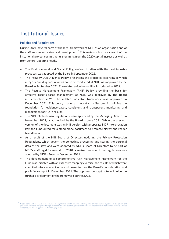### Institutional Issues

#### **Policies and Regulations**

During 2021, several parts of the legal framework of NDF as an organisation and of the staff was under review and development. $^5$  This review is both as a result of the instutional project commitments stemming from the 2020 capital increase as well as from general updating needs.

- The Environmental and Social Policy, revised to align with the best industry practices, was adopted by the Board in September 2021.
- The Integrity Due Diligence Policy, prescribing the principles according to which integrity due diligence reviews are to be conducted at NDF, was approved by the Board in September 2021. The related guidelines will be introduced in 2022.
- The Results Management Framework (RMF) Policy, providing the basis for effective results-based management at NDF, was approved by the Board in September 2021. The related indicator framework was approved in December 2021. This policy marks an important milestone in building the foundation for evidence-based, consistent and transparent monitoring and management of NDF's results.
- The NDF Ombudsman Regulations were approved by the Managing Director in November 2021, as authorised by the Board in June 2021. While the previous version of the document was an NIB version with a separate NDF interpretation key, the Fund opted for a stand-alone document to promote clarity and reader friendliness.
- As a result of the NIB Board of Directors updating the Privacy Protection Regulations, which govern the collecting, processing and storing the personal data of the staff and were adopted by NDF's Board of Directors to be part of NDF's staff legal framework in 2018, a revised version of the regulations was adopted by NDF's Board in December 2021.
- The development of a comprehensive Risk Management Framework for the Fund was initiated with an extensive mapping exercise, the results of which were compiled into a concept note and presented for the Board's consideration and preliminary input in December 2021. The approved concept note will guide the further development of the framework during 2022.

In accordance with the Rules on the Issuance of Legal Framework Documents, containing rules on the hierarchy of, as well as the powers and procedures related to, the approval of legal framework documents at NDF, policies and regulations are approved by the Board of Directors, whereas rules and guidelines are approved by the Managing Director. 5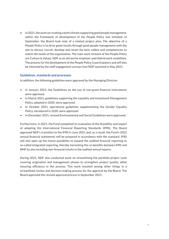• In 2021, the work on creating a work climate supporting good people management, within the framework of development of the People Policy was initiated. In September, the Board took note of a related project plan. The objective of a People Policy is to drive good results through good people management with the aim to attract, recruit, develop and retain the best calibre and competencies to match the needs of the organisation. The main work streams of the People Policy are Culture & Values, NDF as an attractive employer and Hybrid work modalities. The process for the development of the People Policy is participatory and will also be informed by the staff engagement surveys that NDF launched in May 2021.

#### **Guidelines, standards and processes**

In addition, the following guidelines were approved by the Managing Director:

- In January 2021, the Guidelines on the use of non-grant financial instruments were approved.
- In March 2021, guidelines supporting the Liquidity and Investment Management Policy, adopted in 2020, were approved.
- In October 2021, operational guidelines supplementing the Gender Equality Policy, introduced in 2020, were approved.
- In December 2021, revised Environmental and Social Guidelines were approved.

Furthermore, in 2021, the Fund completed its evaluation of the feasibility and impact of adopting the International Financial Reporting Standards (IFRS). The Board approved NDF's transition to the IFRS in June 2021 and, as a result, the Fund's 2022 annual financial statements will be prepared in accordance with the standard. IFRS will also open up the future possibility to expand the audited financial reporting to so-called integrated reporting, thereby harvesting the co-benefits between IFRS and RMF by also including non-financial results in the audited annual reports.

During 2021, NDF also conducted work on streamlining the portfolio project cycle covering origination and management phases to strengthen project quality, while ensuring efficiency in the process. This work resulted among other things in a streamlined review and decision-making process for the approval by the Board. The Board approved the revised approval process in September 2021.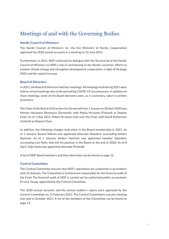### Meetings of and with the Governing Bodies

#### **Nordic Council of Ministers**

The Nordic Council of Ministers (i.e. the five Ministers of Nordic Cooperation) approved the 2020 annual accounts in a meeting on 22 June 2021.

Furthermore, in 2021, NDF continued its dialogue with the Secretariat of the Nordic Council of Ministers on NDF's role in contributing to the Nordic countries' efforts to combat climate change and strengthen development cooperation, in light of Strategy 2025 and the capital increase.

#### **Board of Directors**

In 2021, the Board of Directors had four meetings. All meetings held during 2021 were held as virtual meetings due to the prevailing COVID-19 circumstances. In addition to these meetings, some of the Board decisions were, as is customary, taken in written procedure.

The Chair of the Board of Directors for the period from 1 January to 30 April 2020 was Morten Houmann Blomqvist (Denmark), with Pekka Hirvonen (Finland) as Deputy Chair. As of 1 May 2021, Pekka Hirvonen took over the Chair, with Davið Stefánsson (Iceland) as Deputy Chair.

In addition, the following changes took place in the Board membership in 2021. As of 1 January, Susann Nilsson was appointed alternate (Sweden), succeeding Anders Nyström. As of 1 January, Anders Nyström was appointed member (Sweden), succeeding Lars Roth, who left his position in the Board at the end of 2020. As of 8 April, Saija Vuola was appointed alternate (Finland).

A list of NDF Board members and their alternates can be found on page 12.

#### **Control Committee**

The Control Committee ensures that NDF's operations are conducted in accordance with its Statutes. The Committee is furthermore responsible for the financial audit of the Fund. The financial audit of NDF is carried out by authorised public accountants Ernst & Young, appointed by the Control Committee.

The 2020 annual accounts and the annual auditor's report were approved by the Control Committee on 11 February 2021. The Control Committee's autumn meeting was held in October 2021. A list of the members of the Committee can be found on page 13.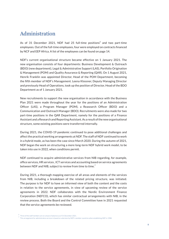### Administration

As of 31 December 2021, NDF had 25 full-time positions<sup>6</sup> and two part-time employees. Out of the full-time employees, four were employed on contracts financed by NCF and EEP Africa. A list of the employees can be found on page 14.

NDF's current organisational structure became effective on 1 January 2021. The new organisation consists of four departments: Business Development & Outreach (BDO) (new department), Legal & Administrative Support (LAS), Portfolio Origination & Management (POM) and Quality Assurance & Reporting (QAR). On 1 August 2021, Henrik Franklin was appointed Director, Head of the POM Department, becoming the fifth member of NDF's Management. Leena Klossner, Deputy Managing Director and previously Head of Operations, took up the position of Director, Head of the BDO Department as of 1 January 2021.

New recruitments to support the new organisation in accordance with the Business Plan 2021 were made throughout the year for the positions of an Administration Officer (LAS), a Program Manager (POM), a Reasearch Officer (BDO) and a Communication and Outreach Manager (BDO). Recruitments were also made for two part-time positions in the QAR Department, namely for the positions of a Finance Assistant and a Research and Reporting Assistant. As a result of the new organisational structure, some existing positions were transferred internally.

During 2021, the COVID-19 pandemic continued to pose additional challenges and affect the practical working arrangements at NDF. The staff of NDF continued to work in a hybrid mode, as has been the case since March 2020. During the autumn of 2021, NDF began the work on structuring a more long-term NDF hybrid work model, to be taken into use in 2022, when conditions permit.

NDF continued to acquire administrative services from NIB regarding, for example, office services, HR services , ICT services and accounting based on service agreements between NDF and NIB, subject to review from time to time.<sup>7</sup>

During 2021, a thorough mapping exercise of all areas and elements of the services from NIB, including a breakdown of the related pricing structure, was initiated. The purpose is for NDF to have an informed view of both the content and the costs in relation to the service agreements, in view of upcoming review of the service agreements in 2022. NDF collaborates with the Nordic Environment Finance Corporation (NEFCO), which has similar contractual arrangements with NIB, in the review process. Both the Board and the Control Committee have in 2021 requested that the service agreements be reviewed.

Three of the staff members are on a leave of absence as of 31 December 2021.

This arrangement for administrative services is based on a decision by NDF's member countries when establishing NDF in 1988. <sup>7</sup>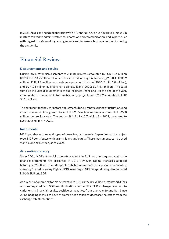In 2021, NDF continued collaboration with NIB and NEFCO on various levels, mostly in matters related to administrative collaboration and communication, and in particular with regard to safe working arrangements and to ensure business continuity during the pandemic.

## Financial Review

#### **Disbursements and results**

During 2021, total disbursements to climate projects amounted to EUR 30.6 million (2020: EUR 54.2 million), of which EUR 26.9 million as grant financing (2020: EUR 35.9 million), EUR 1.8 million was made as equity contribution (2020: EUR 12.0 million), and EUR 1.8 million as financing to climate loans (2020: EUR 6.4 million). The total sum also includes disbursements to sub-projects under NCF. At the end of the year, accumulated disbursements to climate change projects since 2009 amounted to EUR 366.6 million.

The net result for the year before adjustments for currency exchange fluctuations and after disbursements of grant totalled EUR -20.5 million in comparison with EUR -27.0 million the previous year. The net result is EUR -10.7 million for 2021, compared to EUR -37.2 million in 2020.

#### **Instruments**

NDF operates with several types of financing instruments. Depending on the project type, NDF contributes with grants, loans and equity. These instruments can be used stand-alone or blended, as relevant.

#### **Accounting currency**

Since 2001, NDF's financial accounts are kept in EUR and, consequently, also the financial statements are presented in EUR. However, capital increases adopted before year 2000 and related capital contributions remain in the previous accounting currency Special Drawing Rights (SDR), resulting in NDF's capital being denominated in both EUR and SDR.

As a result of operating for many years with SDR as the prevailing currency, NDF has outstanding credits in SDR and fluctuations in the SDR/EUR exchange rate lead to variations in financial results, positive or negative, from one year to another. Since 2012, hedging measures have therefore been taken to decrease the effect from the exchange rate fluctuations.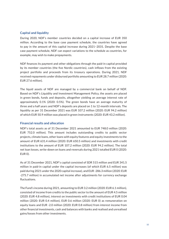#### **Capital and liquidity**

During 2020, NDF's member countries decided on a capital increase of EUR 350 million. According to the base case payment schedule, the countries have agreed to pay in the amount of this capital increase during 2021−2031. Despite the base case payment schedule, NDF can expect variations to the schedule as countries, for example, may wish to make prepayments.

NDF finances its payment and other obligations through the paid-in capital provided by its member countries (the five Nordic countries), cash inflows from the existing project portfolio and proceeds from its treasury operations. During 2021, NDF received repayments under disbursed portfolio amounting to EUR 28.7 million (2020: EUR 27.6 million).

The liquid assets of NDF are managed by a commercial bank on behalf of NDF. Based on NDF's Liquidity and Investment Management Policy, the assets are placed in green bonds, funds and deposits, altogether yielding an average interest rate of approximately 0.1% (2020: 0.5%). The green bonds have an average maturity of three and a half years and NDF's deposits are placed on 1 to 12-month intervals. The liquidity as per 31 December 2021 was EUR 107.2 million (2020: EUR 94.2 million) of which EUR 50.9 million was placed in green instruments (2020: EUR 43.2 million).

#### **Financial results and allocation**

NDF's total assets as of 31 December 2021 amounted to EUR 748.0 million (2020: EUR 752.0 million). This amount includes outstanding credits to public sector projects, climate loans, other loans with equity features and equity investments to the amount of EUR 631.4 million (2020: EUR 650.5 million) and investments with credit institutions to the amount of EUR 107.2 million (2020: EUR 94.2 million). The total net loan losses, write-down on loans and reversals during 2021 totalled EUR 0 (2020: EUR 0).

As of 31 December 2021, NDF's capital consisted of SDR 515 million and EUR 341.5 million in paid-in capital under the capital increases (of which EUR 6.5 million) was paid during 2021 under the 2020 capital increase), and EUR -286.3 million (2020: EUR -275.7 million) in accumulated net income after adjustments for currency exchange fluctuations.

The Fund's income during 2021, amounting to EUR 3.2 million (2020: EUR 6.1 million), consisted of income from credits to the public sector to the amount of EUR 4.5 million (2020: EUR 4.8 million), interest on investments with credit institutions of EUR 0.04 million (2020: EUR 0.4 million), EUR 0.6 million (2020: EUR 0) as remuneration on equity loans and EUR -2.0 million (2020: EUR 0.8 million) from interest income from other financial investments, cash and balances with banks and realised and unrealised gains/losses from other investments.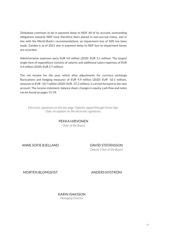Zimbabwe continues to be in payment delay to NDF. All of its accrued, outstanding obligations towards NDF have therefore been placed in non-accrual status, and in line with the World Bank's recommendations, an impairment loss of 50% has been made. Zambia is as of 2021 also in payment delay to NDF but no impairment losses are recorded.

Administrative expenses were EUR 4.0 million (2020: EUR 3.1 million). The largest single item of expenditure consists of salaries and additional salary expenses of EUR 3.4 million (2020: EUR 2.7 million).

The net income for the year, which after adjustments for currency exchange fluctuations and hedging measures of EUR 9.9 million (2020: EUR -10.1 million), amounts to EUR -10,7 million (2020: EUR -37.2 million), is carried forward to the new account. The income statement, balance sheet, changes in equity, cash flow and notes can be found on pages 15-39.

*Electronic signatures on the last page. Digitally signed through Visma Sign. Date: As appears on the electronic signatures.*

> PEKKA HIRVONEN *Chair of the Board*

ANNE SOFIE BJELLAND DAVÍÐ STEFÁNSSON

*Deputy Chair of the Board*

MORTEN BLOMQVIST ANDERS NYSTRÖM

KARIN ISAKSSON *Managing Director*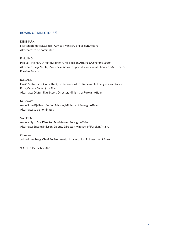#### **BOARD OF DIRECTORS \*)**

#### DENMARK

Morten Blomqvist, Special Adviser, Ministry of Foreign Affairs Alternate: to be nominated

#### FINLAND

Pekka Hirvonen, Director, Ministry for Foreign Affairs, *Chair of the Board* Alternate: Saija Vuola, Ministerial Adviser, Specialist on climate finance, Ministry for Foreign Affairs

#### ICELAND

Davíð Stefánsson, Consultant, D. Stefansson Ltd., Renewable Energy Consultancy Firm, *Deputy Chair of the Board* Alternate: Ólafur Sigurðsson, Director, Ministry of Foreign Affairs

#### NORWAY

Anne Sofie Bjelland, Senior Adviser, Ministry of Foreign Affairs Alternate: to be nominated

#### SWEDEN

Anders Nyström, Director, Ministry for Foreign Affairs Alternate: Susann Nilsson, Deputy Director, Ministry of Foreign Affairs

#### Observer:

Johan Ljungberg, Chief Environmental Analyst, Nordic Investment Bank

\*) As of 31 December 2021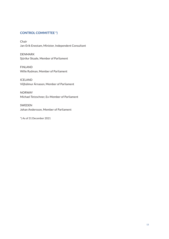#### **CONTROL COMMITTEE \*)**

Chair Jan-Erik Enestam, Minister, Independent Consultant

DENMARK Sjúrður Skaale, Member of Parliament

FINLAND Wille Rydman, Member of Parliament

ICELAND Viljhálmur Árnason, Member of Parliament

NORWAY Michael Tetzschner, Ex-Member of Parliament

SWEDEN Johan Andersson, Member of Parliament

\*) As of 31 December 2021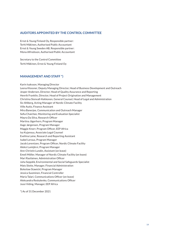#### **AUDITORS APPOINTED BY THE CONTROL COMMITTEE**

Ernst & Young Finland Oy, Responsible partner: Terhi Mäkinen, Authorised Public Accountant Ernst & Young Sweden AB, Responsible partner: Mona Alfredsson, Authorised Public Accountant

Secretary to the Control Committee Terhi Mäkinen, Ernst & Young Finland Oy

#### **MANAGEMENT AND STAFF \*)**

Karin Isaksson, Managing Director Leena Klossner, Deputy Managing Director, Head of Business Development and Outreach Jesper Andersen, Director, Head of Quality Assurance and Reporting Henrik Franklin, Director, Head of Project Origination and Management Christina Stenvall-Kekkonen, General Counsel, Head of Legal and Administration Siv Ahlberg, Acting Manager of Nordic Climate Facility Ville Autio, Finance Assistant Mira Banerjee, Communication and Outreach Manager Sofia Chaichee, Monitoring and Evaluation Specialist Mayra Da Silva, Research Officer Martina Jägerhorn, Program Manager Aage Jørgensen, Program Manager Maggie Knorr, Program Officer, EEP Africa Isa Kujansuu, Associate Legal Counsel Eveliina Laine, Research and Reporting Assistant Isabel Leroux, Program Manager Jacob Lorentzen, Program Officer, Nordic Climate Facility Aleksi Lumijärvi, Program Manager Ann-Christin Lundin, Assistant (on leave) Emeli Möller, Manager of Nordic Climate Facility (on leave) Mari Rasilainen, Administration Officer Juha Seppälä, Environmental and Social Safeguards Specialist Mats Slotte, Manager, Financial Administration Bolesław Stawicki, Program Manager Jessica Suominen, Financial Controller Maria Talari, Communications Officer (on leave) Aleksandra Reskalenko, Communications Officer Jussi Viding, Manager, EEP Africa

\*) As of 31 December 2021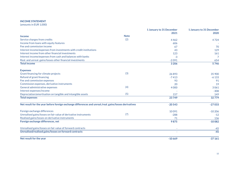#### **INCOME STATEMENT**

(amounts in EUR 1,000)

|                                                                                                       |             | 1 January to 31 December | 1 January to 31 December |
|-------------------------------------------------------------------------------------------------------|-------------|--------------------------|--------------------------|
|                                                                                                       |             | 2021                     | 2020                     |
| <b>Income</b>                                                                                         | <b>Note</b> |                          |                          |
| Service charges from credits                                                                          | (2)         | 4462                     | 4724                     |
| Income from loans with equity features                                                                |             | 606                      |                          |
| Fee and commission income                                                                             |             | 67                       | 70                       |
| Interest income/expenses from investments with credit institutions                                    |             | 43                       | 129                      |
| Interest income from other financial investments                                                      |             | 123                      | 161                      |
| Interest income/expenses from cash and balances with banks                                            |             | $-3$                     | $\overline{7}$           |
| Real. and unreal. gains/losses other financial investments                                            |             | $-2091$                  | 654                      |
| <b>Total income</b>                                                                                   |             | 3 2 0 6                  | 5746                     |
| <b>Expenses</b>                                                                                       |             |                          |                          |
| Grant financing for climate projects                                                                  | (3)         | 26893                    | 35 900                   |
| Refund of grant financing                                                                             |             | $-7413$                  | $-6133$                  |
| Fee and commission expenses                                                                           |             | 93                       | 91                       |
| Commission expenses, derivative instruments                                                           |             | 20                       | 19                       |
| General administrative expenses                                                                       | (4)         | 4000                     | 3061                     |
| Interest expenses/income                                                                              |             |                          | $-308$                   |
| Depreciation/amortisation on tangible and intangible assets                                           | (5)         | 157                      | 149                      |
| <b>Total expenses</b>                                                                                 |             | 23749                    | 32779                    |
| Net result for the year before foreign exchange differences and unreal./real.gains/losses derivatives |             | $-20543$                 | $-27033$                 |
| Foreign exchange differences                                                                          |             | 10091                    | $-10206$                 |
| Unrealised gains/losses on fair value of derivative instruments                                       | (7)         | $-288$                   | $-12$                    |
| Realised gains/losses on derivative instruments                                                       |             | 71                       | 136                      |
| Foreign exchange differences, net                                                                     |             | 9875                     | $-10082$                 |
| Unrealised gains/losses on fair value of forward contracts                                            |             |                          | $-45$                    |
| Unrealised/realised gains/losses on forward contracts                                                 |             |                          | $-45$                    |
| Net result for the year                                                                               |             | $-10669$                 | $-37161$                 |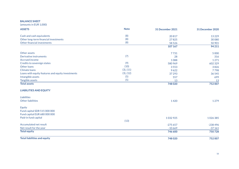#### **BALANCE SHEET**

(amounts in EUR 1,000)

| <b>ASSETS</b>                                     | <b>Note</b> | <b>31 December 2021</b> | <b>31 December 2020</b> |
|---------------------------------------------------|-------------|-------------------------|-------------------------|
| Cash and cash equivalents                         | (8)         | 20817                   | 13229                   |
| Other long-term financial investments             | (8)         | 27825                   | 30 0 80                 |
| Other financial investments                       | (8)         | 58 5 26                 | 50 901                  |
|                                                   |             | 107 167                 | 94 211                  |
| Other assets                                      |             | 7731                    | 5 0 0 0                 |
| Derivative instruments                            | (7)         | 28                      | 316                     |
| <b>Accrued income</b>                             |             | 1088                    | 1271                    |
| Credits to sovereign states                       | (9)         | 580 969                 | 602 329                 |
| Other loans                                       | (10)        | 3553                    | 3826                    |
| <b>Climate loans</b>                              | (3), (11)   | 9622                    | 7798                    |
| Loans with equity features and equity investments | (3), (12)   | 37 29 3                 | 36 545                  |
| Intangible assets                                 | (5)         | 557                     | 699                     |
| Tangible assets                                   | (5)         | 13                      | 13                      |
| <b>Total assets</b>                               |             | 748020                  | 752007                  |
| <b>LIABILITIES AND EQUITY</b>                     |             |                         |                         |
| <b>Liabilities</b>                                |             |                         |                         |
| <b>Other liabilities</b>                          |             | 1420                    | 1279                    |
| Equity                                            |             |                         |                         |
| Fund capital SDR 515 000 000                      |             |                         |                         |
| Fund capital EUR 680 000 000                      |             |                         |                         |
| Paid-in fund capital                              |             | 1032925                 | 1026385                 |
|                                                   | (13)        |                         |                         |
| Accumulated net result                            |             | $-275657$               | $-238496$               |
| Net result for the year                           |             | $-10669$                | $-37161$                |
| <b>Total equity</b>                               |             | 746 600                 | 750728                  |
| <b>Total liabilities and equity</b>               |             | 748020                  | 752007                  |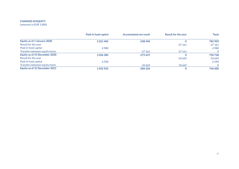### **CHANGES IN EQUITY**

(amounts in EUR 1,000)

|                                | Paid-in fund capital | <b>Accumulated net result</b> | <b>Result for the year</b> | Total    |
|--------------------------------|----------------------|-------------------------------|----------------------------|----------|
| Equity as of 1 January 2020    | 1021405              | $-238496$                     |                            | 782 909  |
| Result for the year            |                      |                               | $-37161$                   | $-37161$ |
| Paid-in fund capital           | 4 9 8 0              |                               |                            | 4 9 8 0  |
| Transfers between equity items |                      | $-37161$                      | 37 161                     |          |
| Equity as of 31 December 2020  | 1026385              | $-275657$                     |                            | 750728   |
| Result for the year            |                      |                               | $-10669$                   | $-10669$ |
| Paid-in fund capital           | 6 5 4 0              |                               |                            | 6540     |
| Transfers between equity items |                      | $-10669$                      | 10669                      |          |
| Equity as of 31 December 2021  | 1032925              | $-286326$                     |                            | 746 600  |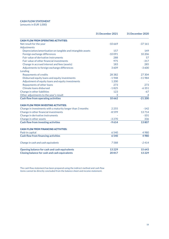#### **CASH FLOW STATEMENT**

(amounts in EUR 1,000)

|                                                             | 31 December 2021 | 31 December 2020 |
|-------------------------------------------------------------|------------------|------------------|
| <b>CASH FLOW FROM OPERATING ACTIVITIES:</b>                 |                  |                  |
| Net result for the year                                     | $-10669$         | $-37161$         |
| Adjustments                                                 |                  |                  |
| Depreciation/amortisation on tangible and intangible assets | 157              | 149              |
| Foreign exchange differences                                | $-10091$         | 10 20 6          |
| Fair value of derivative instruments                        | 288              | 57               |
| Fair value of other financial investments                   | 975              | $-317$           |
| Change in accrued interest and fees (assets)                | 183              | 285              |
| Adjustments to foreign exchange differences                 | 3609             | $-3600$          |
| Lending                                                     |                  |                  |
| <b>Repayments of credits</b>                                | 28 3 8 2         | 27 304           |
| Disbursed equity loans and equity investments               | $-1948$          | $-11984$         |
| Adjustment of equity loans and equity investments           | 1 2 0 0          |                  |
| Repayments of other loans                                   | 273              | 273              |
| Climate loans disbursed                                     | $-1825$          | $-6351$          |
| Change in other liabilities                                 | 123              | $-67$            |
| Other adjustments to the year's result                      | 3                |                  |
| <b>Cash flow from operating activities</b>                  | 10662            | $-21200$         |
| <b>CASH FLOW FROM INVESTING ACTIVITIES:</b>                 |                  |                  |
| Change in investments with a maturity longer than 3 months  | 2 2 5 5          | $-142$           |
| Change in other financial investments                       | $-8599$          | 13714            |
| Change in derivative instruments                            |                  | $-101$           |
| Change in other assets                                      | $-3270$          | 336              |
| <b>Cash flow from investing activities</b>                  | $-9614$          | 13807            |
| <b>CASH FLOW FROM FINANCING ACTIVITIES:</b>                 |                  |                  |
| Paid-in capital                                             | 6540             | 4980             |
| <b>Cash flow from financing activities</b>                  | 6540             | 4980             |
| Change in cash and cash equivalents                         | 7588             | $-2414$          |
| Opening balance for cash and cash equivalents               | 13229            | 15 6 43          |
| <b>Closing balance for cash and cash equivalents</b>        | 20817            | 13229            |

The cash flow statement has been prepared using the indirect method and cash flow items cannot be directly concluded from the balance sheet and income statement.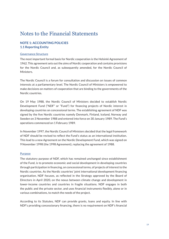### Notes to the Financial Statements

#### **NOTE 1: ACCOUNTING POLICIES 1.1 Reporting Entity**

#### Governance Structure

The most important formal basis for Nordic cooperation is the Helsinki Agreement of 1962. This agreement sets out the aims of Nordic cooperation and contains provisions for the Nordic Council and, as subsequently amended, for the Nordic Council of Ministers.

The Nordic Council is a forum for consultation and discussion on issues of common interests at a parliamentary level. The Nordic Council of Ministers is empowered to make decisions on matters of cooperation that are binding to the governments of the Nordic countries.

On 19 May 1988, the Nordic Council of Ministers decided to establish Nordic Development Fund ("NDF" or "Fund") for financing projects of Nordic interest in developing countries on concessional terms. The establishing agreement of NDF was signed by the five Nordic countries namely Denmark, Finland, Iceland, Norway and Sweden on 3 November 1988 and entered into force on 30 January 1989. The Fund's operations commenced on 1 February 1989.

In November 1997, the Nordic Council of Ministers decided that the legal framework of NDF should be revised to reflect the Fund's status as an international institution. This lead to a new Agreement on the Nordic Development Fund, which was signed on 9 November 1998 (the 1998 Agreement), replacing the agreement of 1988.

#### **Purpose**

The statutory purpose of NDF, which has remained unchanged since establishment of the Fund, is to promote economic and social development in developing countries through participation in financing, on concessional terms, of projects of interest to the Nordic countries. As the Nordic countries' joint international development financing organisation, NDF focuses, as reflected in the Strategy approved by the Board of Directors in April 2020, on the nexus between climate change and development in lower-income countries and countries in fragile situations. NDF engages in both the public and the private sector, and uses financial instruments flexibly, alone or in various combinations, to match the needs of the project.

According to its Statutes, NDF can provide grants, loans and equity. In line with NDF's providing concessionary financing, there is no requirement on NDF's financial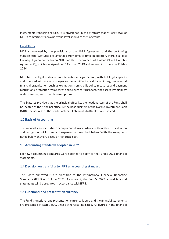instruments rendering return. It is envisioned in the Strategy that at least 50% of NDF's commitments on a portfolio level should consist of grants.

#### Legal Status

NDF is governed by the provisions of the 1998 Agreement and the pertaining statutes (the "Statutes") as amended from time to time. In addition, there is a Host Country Agreement between NDF and the Government of Finland ("Host Country Agreement"), which was signed on 15 October 2013 and entered into force on 11 May 2014.

NDF has the legal status of an international legal person, with full legal capacity and is vested with some privileges and immunities typical for an intergovernmental financial organisation, such as exemption from credit policy measures and payment restrictions, protection from search and seizure of its property and assets, inviolability of its premises, and broad tax exemptions.

The Statutes provide that the principal office i.e. the headquarters of the Fund shall be located at the principal office, i.e the headquarters of the Nordic Investment Bank (NIB). The address of the headquarters is Fabianinkatu 34, Helsinki, Finland.

#### **1.2 Basis of Accounting**

The financial statements have been prepared in accordance with methods of valuation and recognition of income and expenses as described below. With the exceptions noted below, they are based on historical cost.

#### **1.3 Accounting standards adopted in 2021**

No new accountning standards were adopted to apply to the Fund's 2021 financial statements.

#### **1.4 Decision on transiting to IFRS as accounting standard**

The Board approved NDF's transition to the International Financial Reporting Standards (IFRS) on 9 June 2021. As a result, the Fund's 2022 annual financial statements will be prepared in accordance with IFRS.

#### **1.5 Functional and presentation currency**

The Fund's functional and presentation currency is euro and the financial statements are presented in EUR 1,000, unless otherwise indicated. All figures in the financial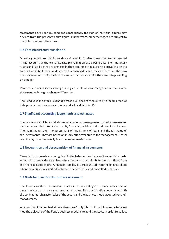statements have been rounded and consequently the sum of individual figures may deviate from the presented sum figure. Furthermore, all percentages are subject to possible rounding differences.

#### **1.6 Foreign currency translation**

Monetary assets and liabilities denominated in foreign currencies are recognised in the accounts at the exchange rate prevailing on the closing date. Non-monetary assets and liabilities are recognised in the accounts at the euro rate prevailing on the transaction date. Income and expenses recognised in currencies other than the euro are converted on a daily basis to the euro, in accordance with the euro rate prevailing on that day.

Realised and unrealised exchange rate gains or losses are recognised in the income statement as Foreign exchange differences.

The Fund uses the official exchange rates published for the euro by a leading market data provider with some exceptions, as disclosed in Note 15.

#### **1.7 Significant accounting judgements and estimates**

The preparation of financial statements requires management to make assessment and estimates that affect the result, financial position and additional disclosures. The main impact is on the assessment of impairment of loans and the fair value of the investments. They are based on information available to the management. Actual results may differ materially from the assessments made.

#### **1.8 Recognition and derecognition of financial instruments**

Financial instruments are recognised in the balance sheet on a settlement date basis. A financial asset is derecognised when the contractual rights to the cash flows from the financial asset expire. A financial liability is derecognised from the balance sheet when the obligation specified in the contract is discharged, cancelled or expires.

#### **1.9 Basis for classification and measurement**

The Fund classifies its financial assets into two categories: those measured at amortised cost, and those measured at fair value. This classification depends on both the contractual characteristics of the assets and the business model adopted for their management.

An investment is classified at "amortised cost" only if both of the following criteria are met: the objective of the Fund's business model is to hold the assets in order to collect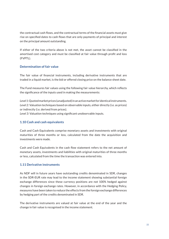the contractual cash flows, and the contractual terms of the financial assets must give rise on specified dates to cash flows that are only payments of principal and interest on the principal amount outstanding.

If either of the two criteria above is not met, the asset cannot be classified in the amortised cost category and must be classified at fair value through profit and loss (FVPTL).

#### **Determination of fair value**

The fair value of financial instruments, including derivative instruments that are traded in a liquid market, is the bid or offered closing price on the balance sheet date.

The Fund measures fair values using the following fair value hierarchy, which reflects the significance of the inputs used in making the measurements:

*Level 1*: Quoted market prices (unadjusted) in an active market for identical instruments. *Level 2*: Valuation techniques based on observable inputs, either directly (i.e. as prices) or indirectly (i.e. derived from prices).

*Level 3*: Valuation techniques using significant unobservable inputs.

#### **1.10 Cash and cash equivalents**

Cash and Cash Equivalents comprise monetary assets and investments with original maturities of three months or less, calculated from the date the acquisition and investments were made.

Cash and Cash Equivalents in the cash flow statement refers to the net amount of monetary assets, investments and liabilities with original maturities of three months or less, calculated from the time the transaction was entered into.

#### **1.11 Derivative instruments**

As NDF will in future years have outstanding credits denominated in SDR, changes in the SDR-EUR rate may lead to the income statement showing substantial foreign exchange differences since these currency positions are not 100% hedged against changes in foreign exchange rates. However, in accordance with the Hedging Policy, measures have been taken to reduce the effects from the foreign exchange differences by hedging part of the credits denominated in SDR.

The derivative instruments are valued at fair value at the end of the year and the change in fair value is recognised in the income statement.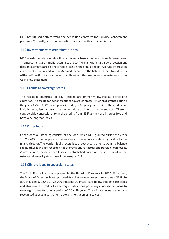NDF has utilised both forward and deposition contracts for liquidity management purposes. Currently, NDF has deposition contracts with a commercial bank.

#### **1.12 Investments with credit institutions**

NDF invests monetary assets with a commercial bank at current market interest rates. The investments are initially recognised at cost (normally nominal value) at settlement date. Investments are also recorded at cost in the annual report. Accrued interest on investments is recorded within "Accrued Income" in the balance sheet. Investments with credit institutions for longer than three months are shown as investments in the Cash Flow Statement.

#### **1.13 Credits to sovereign states**

The recipient countries for NDF credits are primarily low-income developing countries. The credit period for credits to sovereign states, which NDF granted during the years 1989 - 2005, is 40 years, including a 10 year grace period. The credits are initially recognised at cost at settlement date and held at amortised cost. There is considerable concessionality in the credits from NDF as they are interest-free and have very long maturities.

#### **1.14 Other loans**

Other loans outstanding consists of one loan, which NDF granted during the years 1989 - 2005. The purpose of the loan was to serve as an on-lending facility to the financial sector. The loan is initially recognised at cost at settlement day. In the balance sheet, other loans are recorded net of provisions for actual and possible loan losses. A provision for possible loan losses, is established based on the assessment of the nature and maturity structure of the loan portfolio.

#### **1.15 Climate loans to sovereign states**

The first climate loan was approved by the Board of Directors in 2016. Since then, the Board of Directors have approved five climate loan projects, to a value of EUR 26 000 thousand (2020: EUR 26 000 thousand). Climate loans follow the same principles and structure as Credits to sovereign states, thus providing concessional loans to sovereign states for a loan period of 25 - 38 years. The climate loans are initially recognised at cost at settlement date and held at amortised cost.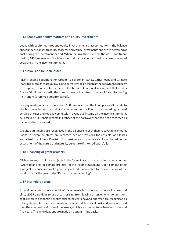#### **1.16 Loans with equity features and equity investments**

Loans with equity features and equity investments are accounted for in the balance sheet under Loans with equity features and equity investments and are to be valued at cost during the investment period. When the investment enters the post-investment period, NDF recognises the investment at fair value. Write-downs are presented separately in the income statement.

#### **1.17 Provision for loan losses**

NDF's lending conditions for Credits to sovereign states, Other loans and Climate loans to sovereign states allow a long-term view to be taken of the repayment capacity of recipient countries. In the event of debt consolidation, it is assumed that credits from NDF will be treated in the same manner as loans from other multilateral financing institutions (preferred creditor status).

For payments, which are more than 180 days overdue, the Fund places all credits to the borrower in non-accrual status, whereupon the Fund stops recording accrued service charges and fee and commission revenue as income on the income statement. All accrued but unpaid income in respect of the borrower that had been recorded as income is then reversed.

Credits outstanding are recognised in the balance sheet at their recoverable amount. Loans to sovereign states are recorded net of provisions for possible loan losses and actual loan losses. Provision for possible loan losses is established based on the assessment of the nature and maturity structure of the credit portfolio.

#### **1.18 Financing of grant projects**

Disbursements to climate projects in the form of grants, are recorded as a cost under "Grant financing for climate projects" in the income statement. Upon completion of a project or cancellation of a grant, any refund is accounted for as a reduction of the total costs for the year under "Refund of grant financing."

#### **1.19 Intangible assets**

Intangible assets mainly consist of investments in software, software licenses and since 2019 also right to use assets arising from leasing arrangements. Acquisitions that generate economic benefits exceeding costs beyond one year are recognised as intangible assets. The investments are carried at historical cost and are amortised over the assessed useful life of the assets, which is estimated to be between three and five years. The amortisations are made on a straight-line basis.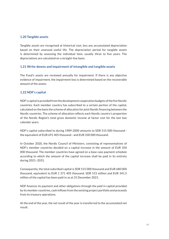#### **1.20 Tangible assets**

Tangible assets are recognised at historical cost, less any accumulated depreciation based on their assessed useful life. The depreciation period for tangible assets is determined by assessing the individual item, usually three to five years. The depreciations are calculated on a straight-line basis.

#### **1.21 Write-downs and impairment of intangible and tangible assets**

The Fund's assets are reviewed annually for impairment. If there is any objective evidence of impairment, the impairment loss is determined based on the recoverable amount of the assets.

#### **1.22 NDF's capital**

NDF's capital is provided from the development cooperation budgets of the five Nordic countries. Each member country has subscribed to a certain portion of the capital, calculated on the basis the scheme of allocation for joint Nordic financing between the Nordic countries. The scheme of allocation reflects each Nordic country's proportion of the Nordic Region's total gross domestic income at factor cost for the last two calendar years.

NDF's capital subscribed to during 1989-2000 amounts to SDR 515 000 thousand the equivalent of EUR 691 405 thousand - and EUR 330 000 thousand.

In October 2020, the Nordic Council of Ministers, consisting of representatives of NDF's member countries decided on a capital increase in the amount of EUR 350 000 thousand. The member countries have agreed on a base case payment schedule according to which the amount of the capital increase shall be paid in its entirety during 2021−2031.

Consequently, the total subsribed capital is SDR 515 000 thousand and EUR 680 000 thousand, equivalent to EUR 1 371 405 thousand. SDR 515 million and EUR 341.5 million of the capital has been paid-in as at 31 December 2021.

NDF finances its payment and other obligations through the paid in capital provided by its member countries, cash inflows from the existing project portfolio and proceeds from its treasury operations.

At the end of the year, the net result of the year is transferred to the accumulated net result.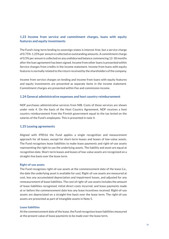#### **1.23 Income from service and commitment charges, loans with equity features and equity investments**

The Fund's long-term lending to sovereign states is interest-free, but a service charge of 0.75%-1.25% per annum is collected on outstanding amounts. A commitment charge of 0.5% per annum is collected on any undisbursed balance commencing 12-18 months after the loan agreement has been signed. Income from other loans is presented within Service charges from credits in the income statement. Income from loans with equity features is normally related to the return received by the shareholders of the company.

Income from service charges on lending and income from loans with equity features and equity investments are presented as separate items in the income statement. Commitment charges are presented within Fee and commission income.

#### **1.24 General administrative expenses and host country reimbursement**

NDF purchases administrative services from NIB. Costs of these services are shown under note 4. On the basis of the Host Country Agreement, NDF receives a host country reimbursement from the Finnish government equal to the tax levied on the salaries of the Fund's employees. This is presented in note 4.

#### **1.25 Leasing agreements**

Aligned with IFRS16 the Fund applies a single recognition and measurement approach for all leases, except for short-term leases and leases of low-value assets. The Fund recognises lease liabilities to make lease payments and right-of-use assets representing the right to use the underlying assets. The liability and asset are equal at recognition date. Short-term leases and leases of low-value assets are recognized on a straight-line basis over the lease term.

#### **Right-of-use assets**

The Fund recognises right-of-use assets at the commencement date of the lease (i.e., the date the underlying asset is available for use). Right-of-use assets are measured at cost, less any accumulated depreciation and impairment losses, and adjusted for any remeasurement of lease liabilities. The cost of right-of-use assets includes the amount of lease liabilities recognised, initial direct costs incurred, and lease payments made at or before the commencement date less any lease incentives received. Right-of-use assets are depreciated on a straight-line basis over the lease term. The right-of-use assets are presented as part of intangible assets in Note 5.

#### **Lease liabilities**

At the commencement date of the lease, the Fund recognises lease liabilities measured at the present value of lease payments to be made over the lease term.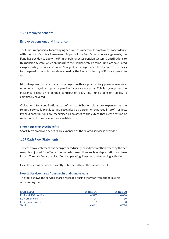#### **1.26 Employee benefits**

#### **Employee pensions and insurance**

The Fund is responsible for arranging pension insurance for its employees in accordance with the Host Country Agreement. As part of the Fund's pension arrangements, the Fund has decided to apply the Finnish public sector pension system. Contributions to this pension system, which are paid into the Finnish State Pension Fund, are calculated as a percentage of salaries. Finland's largest pension provider, Keva, confirms the basis for the pension contribution determined by the Finnish Ministry of Finance (see Note 4).

NDF also provides its permanent employees with a supplementary pension insurance scheme, arranged by a private pension insurance company. This is a group pension insurance based on a defined contribution plan. The Fund's pension liability is completely covered.

Obligations for contributions to defined contribution plans are expensed as the related service is provided and recognised as personnel expenses in profit or loss. Prepaid contributions are recognised as an asset to the extent that a cash refund or reduction in future payments is available.

#### **Short-term employee benefits**

Short-term employee benefits are expensed as the related service is provided.

#### **1.27 Cash Flow Statements**

The cash flow statement has been prepared using the indirect method whereby the net result is adjusted for effects of non-cash transactions such as depreciation and loan losses. The cash flows are classified by operating, investing and financing activities.

Cash flow items cannot be directly determined from the balance sheet.

#### **Note 2: Service charge from credits and climate loans**

The table shows the service charge recorded during the year from the following outstanding loans.

| (EUR 1,000)                | 31 Dec. 21 | 31 Dec. 20 |
|----------------------------|------------|------------|
| <b>EUR and SDR credits</b> | 4327       | 4636       |
| EUR other loans            | 28         | 30         |
| EUR climate loans          | 107        | 58         |
| <b>Total</b>               | 4462       | 4724       |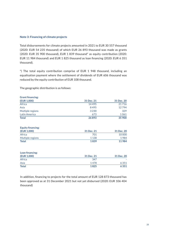#### **Note 3: Financing of climate projects**

Total disbursements for climate projects amounted in 2021 to EUR 30 557 thousand (2020: EUR 54 235 thousand) of which EUR 26 893 thousand was made as grants (2020: EUR 35 900 thousand), EUR 1 839 thousand\* as equity contribution (2020: EUR 11 984 thousand) and EUR 1 825 thousand as loan financing (2020: EUR 6 351 thousand).

\*) The total equity contribution comprise of EUR 1 948 thousand, including an equalisation payment where the settlement of dividends of EUR 606 thousand was reduced by the equity contribution of EUR 108 thousand.

| (EUR 1,000)              | 31 Dec. 21 | 31 Dec. 20 |
|--------------------------|------------|------------|
| Africa                   | 14495      | 21716      |
| Asia                     | 8495       | 12794      |
| Multiple regions         | 3 2 3 0    | 329        |
| <b>Latin America</b>     | 673        | 1061       |
| <b>Total</b>             | 26893      | 35 900     |
| <b>Equity financing:</b> |            |            |
| (EUR 1,000)              | 31 Dec. 21 | 31 Dec. 20 |
| Africa                   | 701        | 10 000     |
| Multiple regions         | 1 1 3 8    | 1984       |
| <b>Total</b>             | 1839       | 11984      |
| Loan financing:          |            |            |
| (EUR 1,000)              | 31 Dec. 21 | 31 Dec. 20 |
| Africa                   | 347        |            |
| Asia                     | 1478       | 6351       |
| Total                    | 1825       | 6351       |

The geographic distribution is as follows:

**Grant financing:**

In addition, financing to projects for the total amount of EUR 128 873 thousand has been approved as at 31 December 2021 but not yet disbursed (2020: EUR 106 404 thousand)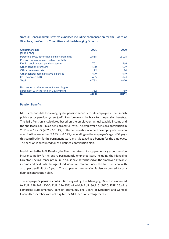| <b>Grant financing:</b>                     | 2021   | 2020    |
|---------------------------------------------|--------|---------|
| (EUR 1,000)                                 |        |         |
| Personnel costs other than pension premiums | 2668   | 2 1 2 8 |
| Pension premiums in accordance with the     |        |         |
| Finnish public sector pension system        | 701    | 566     |
| Other pension premiums                      | 170    | 129     |
| Office premises costs                       | 29     | 24      |
| Other general administrative expenses       | 499    | 479     |
| Cost coverage, NIB                          | 685    | 494     |
| <b>Total</b>                                | 4752   | 3820    |
| Host country reimbursement according to     |        |         |
| agreement with the Finnish Government       | $-752$ | $-759$  |
| <b>Net</b>                                  | 4000   | 3061    |

#### **Note 4: General administrative expenses including compensation for the Board of Directors, the Control Committee and the Managing Director**

#### **Pension Benefits**

NDF is responsible for arranging the pension security for its employees. The Finnish public sector pension system (JuEL Pension) forms the basis for the pension benefits. The JuEL Pension is calculated based on the employee's annual taxable income and the applicable age-linked pension accrual rate. The employer's pension contribution in 2021 was 17.25% (2020: 16.81%) of the pensionable income. The employee's pension contribution was either 7.15% or 8.65%, depending on the employee's age. NDF pays this contribution for its permanent staff, and it is taxed as a benefit for the employee. The pension is accounted for as a defined contribution plan.

In addition to the JuEL Pension, the Fund has taken out a supplementary group pension insurance policy for its entire permanently employed staff, including the Managing Director. The insurance premium, 6.5%, is calculated based on the employee's taxable income and paid until the age of individual retirement under the JuEL Pension, with an upper age limit of 65 years. The supplementary pension is also accounted for as a defined contribution plan.

The employer's pension contribution regarding the Managing Director amounted to EUR 128,567 (2020: EUR 126,357) of which EUR 36,915 (2020: EUR 35,691) comprised supplementary pension premiums. The Board of Directors and Control Committee members are not eligible for NDF pension arrangements.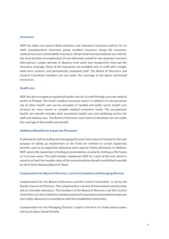#### **Insurances**

NDF has taken out several (both statutory and voluntary) insurance policies for its staff: unemployment insurance, group accident insurance, group life insurance, medical insurance and disability insurance. All personal insurance policies are valid for the total duration of employment (if not otherwise stated for the separate insurance alternatives). Longer periods of absence from work may temporarily interrupt the insurance coverage. Some of the insurances are available only to staff with a longer fixed term contract and permanently employed staff. The Board of Directors and Control Committee members are not under the coverage of the above mentioned insurances.

#### **Health care**

NDF has also arranged occupational health care for its staff through a private medical centre in Finland. The Fund's medical insurance covers in addition to a broad extent use of other health care service providers if needed and public sector health care services for more severe or complex medical treatment needs. The occupational health care benefit includes both preventive health care and wellbeing actions for staff and medical care. The Board of Directors and Control Committee are not under the coverage of the health care benefit.

#### **Additional Benefits for Expatriate Personnel**

Professional staff (including the Managing Director) who move to Finland for the sole purpose of taking up employment at the Fund are entitled to certain expatriate benefits, such as an expatriate allowance and a spouse/ family allowance. In addition, NDF assists the expatriate in finding accommodation, usually by renting a a flat house or in its own name. The staff member reimburses NDF for a part of the rent, which is equal to at least the taxable value of the accommodation benefit established annually by the Finnish National Board of Taxes.

#### **Compensation for Board of Directors, Control Committee and Managing Director**

Compensation for the Board of Directors and the Control Committee is set by the Nordic Council of Ministers. The compensation consists of fixed annual remuneration and an attendee allowance. The members of the Board of Directors and the Control Committee are also entitled to reimbursement of travel and accommodation expenses and a daily allowance in accordance with the established travel policy.

Compensation for the Managing Director is paid in the form of a fixed annual salary and usual salary-based benefits.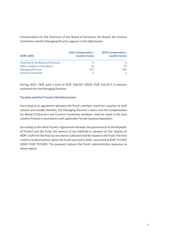Compensation for the Chairman of the Board of Directors, the Board, the Control Committee and the Managing Director appears in the table below:

| (EUR 1,000)                               | 2021 Compensation /<br>taxable income | 2020 Compensation /<br>taxable income |
|-------------------------------------------|---------------------------------------|---------------------------------------|
| <b>Chairman of the Board of Directors</b> |                                       | 6                                     |
| Other members of the Board                | 12                                    | 19                                    |
| <b>Managing Director</b>                  | 376                                   | 356                                   |
| <b>Control Committee</b>                  |                                       | $\mathcal{L}$                         |

During 2021, NDF paid a total of EUR 128,567 (2020: EUR 126,357) in pension premiums for the Managing Director.

#### **Taxation and Host Country Reimbursement**

According to an agreement between the Fund's member countries, taxation of staff salaries and taxable benefits, the Managing Director's salary and the compensation for Board of Directors and Control Committee members, shall be taxed in the host country Finland in accordance with applicable Finnish taxation legislation.

According to the Host Country Agreement between the government of the Republic of Finland and the Fund, the amount of tax withheld in advance on the salaries of NDF's staff and the final tax on salaries collected shall be repaid to the Fund. The host country reimbursement, which the Fund received in 2021, amounted to EUR 751,922 (2020: EUR 759,305). The payment reduces the Fund's administrative expenses as shown above.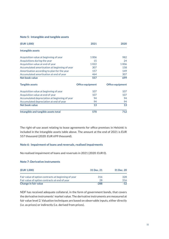| Note 5: Intangible and tangible assets |  |  |
|----------------------------------------|--|--|
|                                        |  |  |

| (EUR 1,000)                                   | 2021                    | 2020                    |
|-----------------------------------------------|-------------------------|-------------------------|
| Intangible assets                             |                         |                         |
| Acquisition value at beginning of year        | 1006                    | 982                     |
| Acquisitions during the year                  | 15                      | 24                      |
| Acquisition value at end of year              | 1022                    | 1006                    |
| Accumulated amortisation at beginning of year | 307                     | 158                     |
| Amortisation according to plan for the year   | 157                     | 149                     |
| Accumulated amortisation at end of year       | 464                     | 307                     |
| Net book value                                | 557                     | 699                     |
| <b>Tangible assets</b>                        | <b>Office equipment</b> | <b>Office equipment</b> |
| Acquisition value at beginning of year        | 107                     | 107                     |
| Acquisition value at end of year              | 107                     | 107                     |
| Accumulated depreciation at beginning of year | 94                      | 94                      |
| Accumulated depreciation at end of year       | 94                      | 94                      |
| Net book value                                | 13                      | 13                      |
| Intangible and tangible assets total          | 570                     | 712                     |

The right-of-use asset relating to lease agreements for office premises in Helsinki is included in the Intangible assets table above. The amount at the end of 2021 is EUR 557 thousand (2020: EUR 699 thousand).

#### **Note 6: Impairment of loans and reversals, realised impairments**

No realised impairment of loans and reversals in 2021 (2020: EUR 0).

#### **Note 7: Derivative instruments**

| (EUR 1,000)                                         | 31 Dec. 21 | 31 Dec. 20 |
|-----------------------------------------------------|------------|------------|
| Fair value of option contracts at beginning of year | 316        | 328        |
| Fair value of option contracts at end of year       | 28         | 316        |
| Change in fair value                                | $-288$     | $-12$      |

NDF has received adequate collateral, in the form of government bonds, that covers the derivative instruments' market value. The derivative instruments are measured at fair value level 2. Valuation techniques are based on observable inputs, either directly (i.e. as prices) or indirectly (i.e. derived from prices).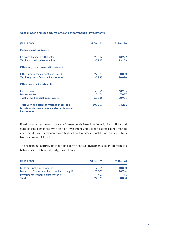#### **Note 8: Cash and cash equivalents and other financial investments**

| (EUR 1,000)                                                                                    | 31 Dec. 21 | 31 Dec. 20 |
|------------------------------------------------------------------------------------------------|------------|------------|
| <b>Cash and cash equivalents</b>                                                               |            |            |
| Cash and balances with banks                                                                   | 20817      | 13 2 29    |
| Total, cash and cash equivalents                                                               | 20817      | 13229      |
| Other long-term financial investments                                                          |            |            |
| Other long-term financial investments                                                          | 27825      | 30 0 80    |
| <b>Total long-term financial investments</b>                                                   | 27825      | 30 080     |
| <b>Other financial investments</b>                                                             |            |            |
| <b>Fixed income</b>                                                                            | 50851      | 43 205     |
| Money market                                                                                   | 7674       | 7697       |
| <b>Total, other financial investments</b>                                                      | 58 5 26    | 50 901     |
| Total Cash and cash equivalents, other long-<br>term financial investments and other financial | 107 167    | 94 211     |
| investments                                                                                    |            |            |

Fixed income instruments consist of green bonds issued by financial institutions and state backed companies with an high investment grade credit rating. Money market instruments are investments in a highly liquid moderate yield fund managed by a Nordic commercial bank.

The remaining maturity of other long-term financial investments, counted from the balance sheet date to maturity, is as follows:

| (EUR 1,000)                                          | 31 Dec. 21 | 31 Dec. 20 |
|------------------------------------------------------|------------|------------|
| Up to and including 3 months                         | 7064       | 10880      |
| More than 6 months and up to and including 12 months | 20 30 8    | 18744      |
| Investments without a fixed maturity                 | 453        | 456        |
| <b>Total</b>                                         | 27825      | 30080      |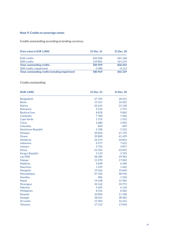#### **Note 9: Credits to sovereign states**

Credits outstanding according to lending currency:

| (Face value in EUR 1,000)                       | 31 Dec. 21 | 31 Dec. 20 |
|-------------------------------------------------|------------|------------|
| <b>EUR</b> credits                              | 445068     | 465 168    |
| <b>SDR</b> credits                              | 139881     | 141 274    |
| Total, outstanding credits                      | 584 949    | 606 442    |
| SDR credits, impairment                         | $-3980$    | $-4113$    |
| Total, outstanding credits including impairment | 580 969    | 602329     |

#### Credits outstanding:

| (EUR 1,000)               | 31 Dec. 21 | 31 Dec. 20 |
|---------------------------|------------|------------|
| <b>Bangladesh</b>         | 27769      | 28421      |
| <b>Benin</b>              | 15521      | 16025      |
| <b>Bolivia</b>            | 22625      | 23 138     |
| <b>Botswana</b>           | 2532       | 2791       |
| <b>Burkina Faso</b>       | 8878       | 9082       |
| Cambodia                  | 7780       | 7966       |
| Cape Verde                | 1319       | 1352       |
| China                     | 2680       | 2902       |
| Colombia                  | 834        | 849        |
| <b>Dominican Republic</b> | 5 100      | 5 2 2 2    |
| Ethiopia                  | 20864      | 21 170     |
| Ghana                     | 39889      | 41699      |
| <b>Honduras</b>           | 26319      | 26852      |
| Indonesia                 | 6977       | 7625       |
| Jamaica                   | 3762       | 3857       |
| Kenya                     | 22 3 3 3   | 22852      |
| <b>Kyrgyz Republic</b>    | 3 1 3 3    | 3 3 3 5    |
| Lao PDR                   | 38 3 8 9   | 39 983     |
| Malawi                    | 15 970     | 17002      |
| <b>Maldives</b>           | 5898       | 6 3 4 0    |
| <b>Mauritius</b>          | 1299       | 1462       |
| Mongolia                  | 19426      | 19840      |
| Mozambique                | 47520      | 48 9 36    |
| Namibia                   | 986        | 1 1 0 4    |
| <b>Nepal</b>              | 14638      | 15 5 8 5   |
| Nicaragua                 | 34 162     | 35 973     |
| Pakistan                  | 5 6 0 5    | 6 1 2 0    |
| Philippines               | 8552       | 8582       |
| Rwanda                    | 10850      | 11 100     |
| Senegal                   | 38031      | 38 4 82    |
| Sri Lanka                 | 15 303     | 16222      |
| <b>Tanzania</b>           | 17 153     | 17834      |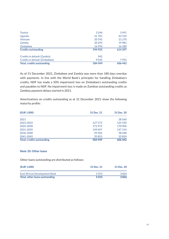|          | 606 442 |
|----------|---------|
| 9035     | 7955    |
| 942      |         |
| 594925   | 614397  |
| 16994    | 16 180  |
| 20 2 9 5 | 19981   |
| 20592    | 21 2 70 |
| 41701    | 43769   |
| 3 2 4 6  | 3491    |
|          | 584 949 |

As of 31 December 2021, Zimbabwe and Zambia was more than 180 days overdue with payments. In line with the World Bank's principles for handling Zimbabwe's credits, NDF has made a 50% impairment loss on Zimbabwe's outstanding credits and payables to NDF. No impairment loss is made on Zambias outstanding credits as Zambias payment delays started in 2021.

Amortisations on credits outstanding as at 31 December 2021 show the following maturity profile:

| (EUR 1,000)                       | 31 Dec. 21 | 31 Dec. 20 |
|-----------------------------------|------------|------------|
| 2021                              |            | 28 5 6 0   |
| 2022-2025                         | 127 573    | 125 550    |
| 2026-2030                         | 172972     | 170 906    |
| 2031-2035                         | 149047     | 147 154    |
| 2036-2040                         | 99 504     | 98 4 48    |
| 2041-2045                         | 35853      | 35824      |
| <b>Total, credits outstanding</b> | 584 949    | 606 442    |

#### **Note 10: Other loans**

Other loans outstanding are distributed as follows:

| (EUR 1,000)                          | 31 Dec. 21 | 31 Dec. 20 |
|--------------------------------------|------------|------------|
| <b>East African Development Bank</b> | 3.553      | 3826       |
| Total, other loans outstanding       | 3553       | 3826       |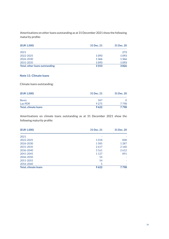Amortisations on other loans outstanding as at 31 December 2021 show the following maturity profile:

| (EUR 1,000)                    | 31 Dec. 21 | 31 Dec. 20 |
|--------------------------------|------------|------------|
| 2021                           |            | 273        |
| 2022-2025                      | 1093       | 1093       |
| 2026-2030                      | 1366       | 1366       |
| 2031-2035                      | 1093       | 1093       |
| Total, other loans outstanding | 3553       | 3826       |

#### **Note 11: Climate loans**

Climate loans outstanding:

| (EUR 1,000)                 | 31 Dec. 21 | 31 Dec. 20 |
|-----------------------------|------------|------------|
| <b>Benin</b>                | 347        |            |
| Lao PDR                     | 9 2 7 5    | 7798       |
| <b>Total, climate loans</b> | 9622       | 7798       |

Amortisations on climate loans outstanding as at 31 December 2021 show the following maturity profile:

| (EUR 1,000)                 | 31 Dec. 21 | 31 Dec. 20 |
|-----------------------------|------------|------------|
| 2021                        |            |            |
| 2022-2025                   | 1018       | 848        |
| 2026-2030                   | 1585       | 1 2 8 7    |
| 2031-2035                   | 2617       | 2 1 6 0    |
| 2036-2040                   | 3 1 6 1    | 2612       |
| 2041-2045                   | 1 1 2 7    | 891        |
| 2046-2050                   | 54         |            |
| 2051-2055                   | 54         |            |
| 2056-2060                   | 5          |            |
| <b>Total, climate loans</b> | 9622       | 7798       |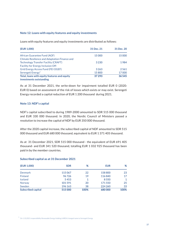#### **Note 12: Loans with equity features and equity investments**

Loans with equity features and equity investments are distributed as follows:

| (EUR 1,000)                                          | 31 Dec. 21 | 31 Dec. 20 |
|------------------------------------------------------|------------|------------|
| African Guarantee Fund (AGF)                         | 15 000     | 15 000     |
| <b>Climate Resilience and Adaptation Finance and</b> |            |            |
| <b>Technology Transfer Facility (CRAFT)</b>          | 3 2 3 0    | 1984       |
| <b>Facility for Energy Inclusion Off-</b>            |            |            |
| <b>Grid Energy Access Fund (FEI OGEF)</b>            | 3 2 6 3    | 2561       |
| Serengeti Energy <sup>1</sup>                        | 15800      | 17000      |
| Total, loans with equity features and equity         | 37 293     | 36 545     |
| investments outstanding                              |            |            |

As at 31 December 2021, the write-down for impairment totalled EUR 0 (2020: EUR 0) based on assessment of the risk of losses which exists or may exist. Serengeti Energy recorded a capital reduction of EUR 1 200 thousand during 2021.

#### **Note 13: NDF's capital**

NDF's capital subscribed to during 1989-2000 amounted to SDR 515 000 thousand and EUR 330 000 thousand. In 2020, the Nordic Council of Ministers passed a resolution to increase the capital of NDF by EUR 350 000 thousand.

After the 2020 capital increase, the subscribed capital of NDF amounted to SDR 515 000 thousand and EUR 680 000 thousand, equivalent to EUR 1 371 405 thousand.

As at 31 December 2021, SDR 515 000 thousand - the equivalent of EUR 691 405 thousand- and EUR 341 520 thousand, totalling EUR 1 032 925 thousand has been paid in by the member countries.

#### **Subscribed capital as at 31 December 2021**

| (EUR 1,000)               | <b>SDR</b> | %    | <b>EUR</b> | %    |
|---------------------------|------------|------|------------|------|
| <b>Denmark</b>            | 115067     | 22   | 158 800    | 23   |
| <b>Finland</b>            | 96726      | 19   | 116840     | 17   |
| Iceland                   | 5453       | 1    | 8550       |      |
| <b>Norway</b>             | 101591     | 20   | 171550     | 25   |
| Sweden                    | 196 163    | 38   | 224 260    | 33   |
| <b>Subscribed capital</b> | 515000     | 100% | 680000     | 100% |

 $1$  On 1.10.2021 responsAbility Renewable Energy Holding (rAREH) changed name to Serengeti Energy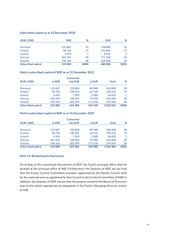#### **Subscribed capital as at 31 December 2020**

| (EUR 1,000)               | <b>SDR</b> | %    | <b>EUR</b> | %    |
|---------------------------|------------|------|------------|------|
| Denmark                   | 115067     | 22   | 158 800    | 23   |
| <b>Finland</b>            | 96726      | 19   | 116840     | 17   |
| Iceland                   | 5453       |      | 8550       |      |
| Norway                    | 101591     | 20   | 171550     | 25   |
| Sweden                    | 196 163    | 38   | 224 260    | 33   |
| <b>Subscribed capital</b> | 515000     | 100% | 680000     | 100% |

#### **Paid in subscribed capital of NDF as at 31 December 2021**

|                           |         | <b>Converted</b> |         |              |      |
|---------------------------|---------|------------------|---------|--------------|------|
| (EUR 1,000)               | in SDR  | into EUR         | in EUR  | <b>Total</b> | %    |
| <b>Denmark</b>            | 115067  | 153858           | 89040   | 242898       | 24   |
| <b>Finland</b>            | 96726   | 130592           | 63720   | 194312       | 19   |
| Iceland                   | 5453    | 7303             | 3 3 0 0 | 10 603       | 1    |
| <b>Norway</b>             | 101591  | 136 354          | 74 250  | 210604       | 20   |
| Sweden                    | 196 163 | 263299           | 111 210 | 374509       | 36   |
| <b>Subscribed capital</b> | 515000  | 691405           | 341520  | 1032925      | 100% |

#### **Paid in subscribed capital of NDF as at 31 December 2020**

|                           |         | <b>Converted</b> |         |              |      |
|---------------------------|---------|------------------|---------|--------------|------|
| (EUR 1,000)               | in SDR  | into EUR         | in EUR  | <b>Total</b> | %    |
| Denmark                   | 115067  | 153858           | 89 500  | 236358       | 24   |
| Finland                   | 96726   | 130 592          | 63720   | 194312       | 19   |
| Iceland                   | 5453    | 7303             | 3 3 0 0 | 10 603       | 1    |
| <b>Norway</b>             | 101591  | 136 354          | 74 250  | 210604       | 20   |
| Sweden                    | 196 163 | 263299           | 111 210 | 374509       | 36   |
| <b>Subscribed capital</b> | 515000  | 691405           | 334 980 | 1026385      | 100% |

#### **Note 14: Related party disclosures**

According to the constituent documents of NDF, the Fund's principal office shall be located at the principal office of NIB. Furthermore, the Statutes of NDF set out that that the Fund's Control Committee members appointed by the Nordic Council shall be the same persons as appointed by the Council to the Control Committee of NIB. In addition, the Statutes of NDF set out that the powers vested in the Board of Directors may to the extent appropriate be delegated to the Fund's Managing Director and/or to NIB.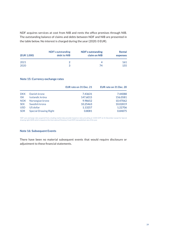NDF acquires services at cost from NIB and rents the office premises through NIB. The outstanding balance of claims and debts between NDF and NIB are presented in the table below. No interest is charged during the year (2020: 0 EUR).

| (EUR 1,000) | <b>NDF's outstanding</b><br>debt to NIB | <b>NDF's outstanding</b><br>claim on NIB | <b>Rental</b><br>expenses |
|-------------|-----------------------------------------|------------------------------------------|---------------------------|
| 2021        | 2                                       |                                          | <b>161</b>                |
| 2020        | 3                                       | 74                                       | 155                       |

#### **Note 15: Currency exchange rates**

|            |                              | EUR rate on 31 Dec. 21 | EUR rate on 31 Dec. 20 |
|------------|------------------------------|------------------------|------------------------|
| <b>DKK</b> | Danish krone                 | 7.43631                | 7.44088                |
| <b>ISK</b> | Icelandic króna              | 147.6015               | 156.0581               |
| <b>NOK</b> | Norwegian krone              | 9.98652                | 10.47062               |
| <b>SEK</b> | Swedish krona                | 10.25463               | 10.02819               |
| <b>USD</b> | US dollar                    | 1.13257                | 1.22706                |
| <b>SDR</b> | <b>Special Drawing Right</b> | 0.8081                 | 0.84875                |

NDF uses exchange rates acquired from a leading market data provider based on rates prevailing at 13:00 GMT at 31 December except for Special drawing right (SDR) which is based on the International Monetary Fund (IMF) last published rate of the year.

#### **Note 16: Subsequent Events**

There have been no material subsequent events that would require disclosure or adjustment to these financial statements.